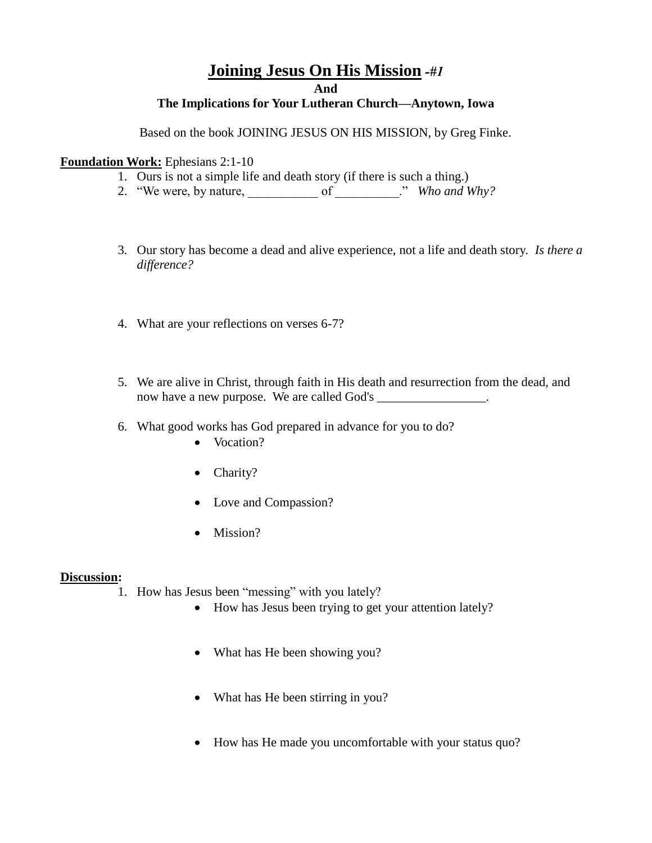## **Joining Jesus On His Mission** *-#1*

**And**

## **The Implications for Your Lutheran Church—Anytown, Iowa**

Based on the book JOINING JESUS ON HIS MISSION, by Greg Finke.

## **Foundation Work:** Ephesians 2:1-10

- 1. Ours is not a simple life and death story (if there is such a thing.)
- 2. "We were, by nature,  $\qquad \qquad$  of  $\qquad \qquad$  *" Who and Why?*
- 3. Our story has become a dead and alive experience, not a life and death story. *Is there a difference?*
- 4. What are your reflections on verses 6-7?
- 5. We are alive in Christ, through faith in His death and resurrection from the dead, and now have a new purpose. We are called God's \_\_\_\_\_\_\_\_\_\_\_\_\_\_\_\_\_.
- 6. What good works has God prepared in advance for you to do?
	- Vocation?
	- Charity?
	- Love and Compassion?
	- Mission?

## **Discussion:**

1. How has Jesus been "messing" with you lately?

- How has Jesus been trying to get your attention lately?
- What has He been showing you?
- What has He been stirring in you?
- How has He made you uncomfortable with your status quo?